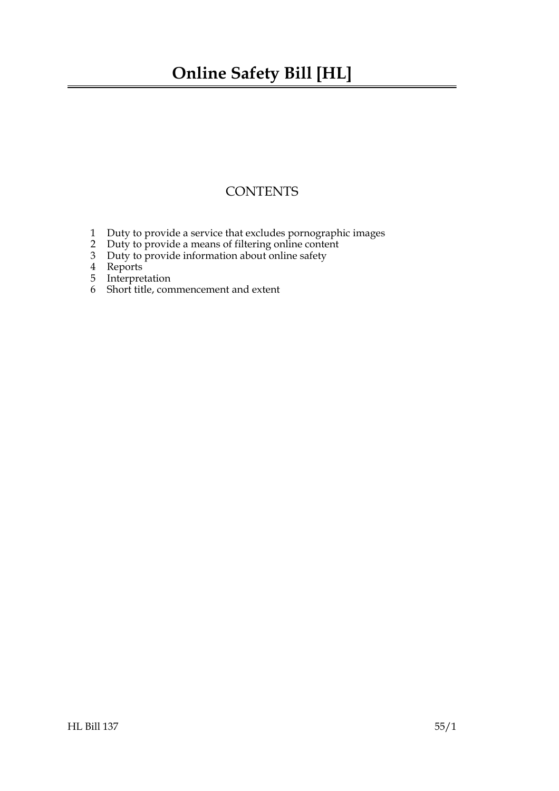### **Online Safety Bill [HL]**

### **CONTENTS**

- [1 Duty to provide a service that excludes pornographic images](#page-2-0)
- [2 Duty to provide a means of filtering online content](#page-2-1)
- [3 Duty to provide information about online safety](#page-3-0)
- [4 Reports](#page-3-1)
- [5 Interpretation](#page-3-2)
- 6 [Short title, commencement and extent](#page-3-3)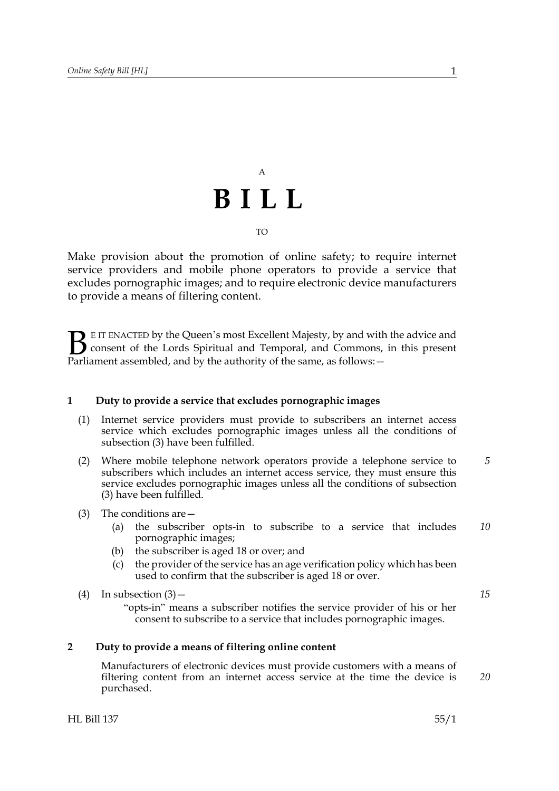## A **BILL** TO

Make provision about the promotion of online safety; to require internet service providers and mobile phone operators to provide a service that excludes pornographic images; and to require electronic device manufacturers to provide a means of filtering content.

E IT ENACTED by the Queen's most Excellent Majesty, by and with the advice and consent of the Lords Spiritual and Temporal, and Commons, in this present **B** E IT ENACTED by the Queen's most Excellent Majesty, by and with consent of the Lords Spiritual and Temporal, and Commons, Parliament assembled, and by the authority of the same, as follows:  $-$ 

#### <span id="page-2-0"></span>**1 Duty to provide a service that excludes pornographic images**

- (1) Internet service providers must provide to subscribers an internet access service which excludes pornographic images unless all the conditions of subsection (3) have been fulfilled.
- (2) Where mobile telephone network operators provide a telephone service to subscribers which includes an internet access service, they must ensure this service excludes pornographic images unless all the conditions of subsection (3) have been fulfilled. *5*
- (3) The conditions are—
	- (a) the subscriber opts-in to subscribe to a service that includes pornographic images; *10*
	- (b) the subscriber is aged 18 or over; and
	- (c) the provider of the service has an age verification policy which has been used to confirm that the subscriber is aged 18 or over.
- (4) In subsection  $(3)$ 
	- "opts-in" means a subscriber notifies the service provider of his or her consent to subscribe to a service that includes pornographic images.

#### **2 Duty to provide a means of filtering online content**

<span id="page-2-1"></span>Manufacturers of electronic devices must provide customers with a means of filtering content from an internet access service at the time the device is purchased.

*15*

*20*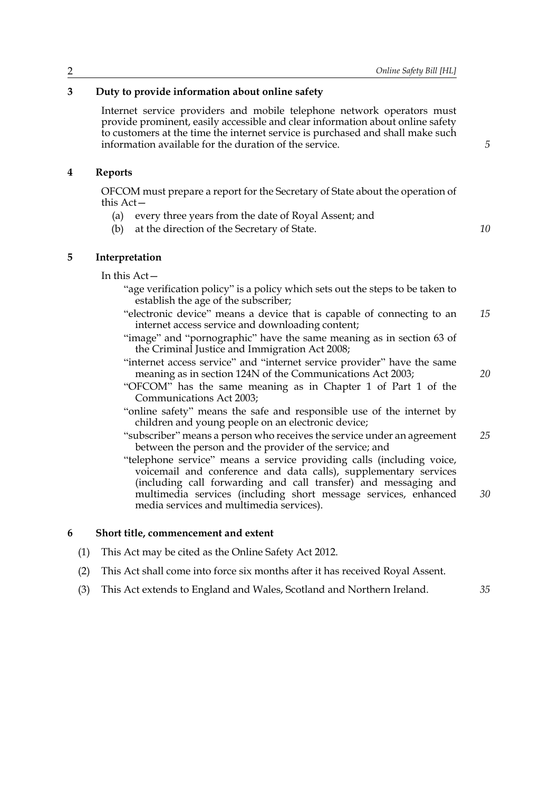#### **3 Duty to provide information about online safety**

<span id="page-3-0"></span>Internet service providers and mobile telephone network operators must provide prominent, easily accessible and clear information about online safety to customers at the time the internet service is purchased and shall make such information available for the duration of the service.

#### **4 Reports**

<span id="page-3-1"></span>OFCOM must prepare a report for the Secretary of State about the operation of this Act—

- (a) every three years from the date of Royal Assent; and
- <span id="page-3-2"></span>(b) at the direction of the Secretary of State.

*10*

*20*

*5*

#### **5 Interpretation**

In this Act—

- "age verification policy" is a policy which sets out the steps to be taken to establish the age of the subscriber;
- "electronic device" means a device that is capable of connecting to an internet access service and downloading content; *15*
- "image" and "pornographic" have the same meaning as in section 63 of the Criminal Justice and Immigration Act 2008;
- "internet access service" and "internet service provider" have the same meaning as in section 124N of the Communications Act 2003;
- "OFCOM" has the same meaning as in Chapter 1 of Part 1 of the Communications Act 2003;
- "online safety" means the safe and responsible use of the internet by children and young people on an electronic device;
- "subscriber" means a person who receives the service under an agreement between the person and the provider of the service; and *25*
- "telephone service" means a service providing calls (including voice, voicemail and conference and data calls), supplementary services (including call forwarding and call transfer) and messaging and multimedia services (including short message services, enhanced media services and multimedia services). *30*

#### <span id="page-3-3"></span>**6 Short title, commencement and extent**

- (1) This Act may be cited as the Online Safety Act 2012.
- (2) This Act shall come into force six months after it has received Royal Assent.
- (3) This Act extends to England and Wales, Scotland and Northern Ireland. *35*